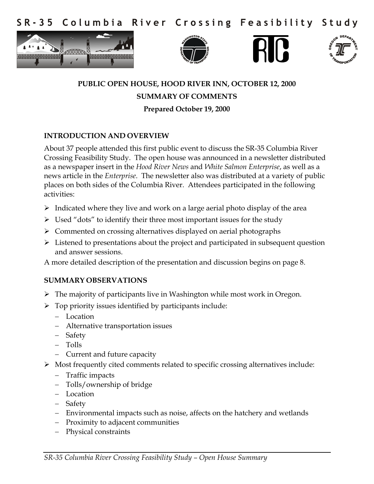Columbia River Crossing Feasibility  $S$  R - 3 5 Study









# **PUBLIC OPEN HOUSE, HOOD RIVER INN, OCTOBER 12, 2000 SUMMARY OF COMMENTS Prepared October 19, 2000**

## **INTRODUCTION AND OVERVIEW**

About 37 people attended this first public event to discuss the SR-35 Columbia River Crossing Feasibility Study. The open house was announced in a newsletter distributed as a newspaper insert in the *Hood River News* and *White Salmon Enterprise*, as well as a news article in the *Enterprise*. The newsletter also was distributed at a variety of public places on both sides of the Columbia River. Attendees participated in the following activities:

- $\triangleright$  Indicated where they live and work on a large aerial photo display of the area
- $\triangleright$  Used "dots" to identify their three most important issues for the study
- Commented on crossing alternatives displayed on aerial photographs
- $\triangleright$  Listened to presentations about the project and participated in subsequent question and answer sessions.

A more detailed description of the presentation and discussion begins on page 8.

#### **SUMMARY OBSERVATIONS**

- $\triangleright$  The majority of participants live in Washington while most work in Oregon.
- $\triangleright$  Top priority issues identified by participants include:
	- Location
	- Alternative transportation issues
	- Safety
	- Tolls
	- Current and future capacity
- $\triangleright$  Most frequently cited comments related to specific crossing alternatives include:
	- Traffic impacts
	- Tolls/ownership of bridge
	- Location
	- Safety
	- Environmental impacts such as noise, affects on the hatchery and wetlands
	- Proximity to adjacent communities
	- Physical constraints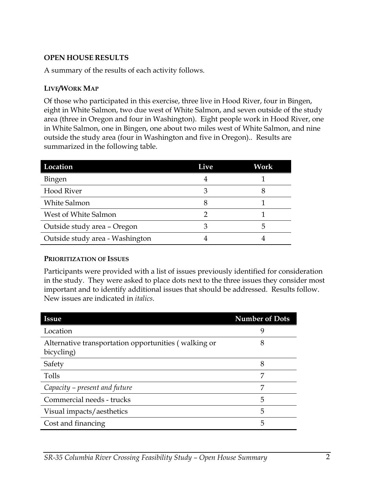## **OPEN HOUSE RESULTS**

A summary of the results of each activity follows.

#### **LIVE/WORK MAP**

Of those who participated in this exercise, three live in Hood River, four in Bingen, eight in White Salmon, two due west of White Salmon, and seven outside of the study area (three in Oregon and four in Washington). Eight people work in Hood River, one in White Salmon, one in Bingen, one about two miles west of White Salmon, and nine outside the study area (four in Washington and five in Oregon).. Results are summarized in the following table.

| Location                        | Live | Work         |
|---------------------------------|------|--------------|
| Bingen                          |      |              |
| <b>Hood River</b>               | З    | 8            |
| <b>White Salmon</b>             | 8    |              |
| West of White Salmon            |      |              |
| Outside study area - Oregon     |      | $\mathbf{b}$ |
| Outside study area - Washington |      |              |

#### **PRIORITIZATION OF ISSUES**

Participants were provided with a list of issues previously identified for consideration in the study. They were asked to place dots next to the three issues they consider most important and to identify additional issues that should be addressed. Results follow. New issues are indicated in *italics*.

| <b>Issue</b>                                                       | <b>Number of Dots</b> |
|--------------------------------------------------------------------|-----------------------|
| Location                                                           | 9                     |
| Alternative transportation opportunities (walking or<br>bicycling) | 8                     |
| Safety                                                             | 8                     |
| Tolls                                                              | 7                     |
| Capacity – present and future                                      | 7                     |
| Commercial needs - trucks                                          | 5                     |
| Visual impacts/aesthetics                                          | 5                     |
| Cost and financing                                                 | 5                     |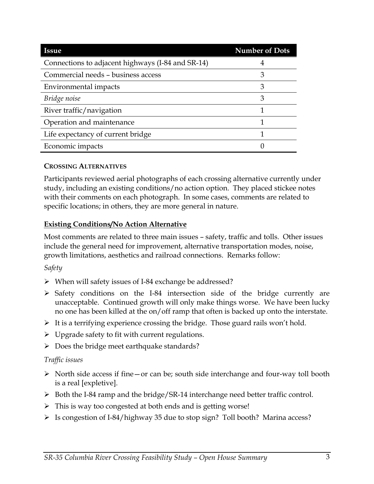| <b>Issue</b>                                      | <b>Number of Dots</b> |
|---------------------------------------------------|-----------------------|
| Connections to adjacent highways (I-84 and SR-14) |                       |
| Commercial needs - business access                | 3                     |
| Environmental impacts                             | 3                     |
| Bridge noise                                      | 3                     |
| River traffic/navigation                          |                       |
| Operation and maintenance                         |                       |
| Life expectancy of current bridge                 |                       |
| Economic impacts                                  |                       |

## **CROSSING ALTERNATIVES**

Participants reviewed aerial photographs of each crossing alternative currently under study, including an existing conditions/no action option. They placed stickee notes with their comments on each photograph. In some cases, comments are related to specific locations; in others, they are more general in nature.

## **Existing Conditions/No Action Alternative**

Most comments are related to three main issues – safety, traffic and tolls. Other issues include the general need for improvement, alternative transportation modes, noise, growth limitations, aesthetics and railroad connections. Remarks follow:

#### *Safety*

- When will safety issues of I-84 exchange be addressed?
- $\triangleright$  Safety conditions on the I-84 intersection side of the bridge currently are unacceptable. Continued growth will only make things worse. We have been lucky no one has been killed at the on/off ramp that often is backed up onto the interstate.
- $\triangleright$  It is a terrifying experience crossing the bridge. Those guard rails won't hold.
- $\triangleright$  Upgrade safety to fit with current regulations.
- $\triangleright$  Does the bridge meet earthquake standards?

#### *Traffic issues*

- $\triangleright$  North side access if fine or can be; south side interchange and four-way toll booth is a real [expletive].
- $\triangleright$  Both the I-84 ramp and the bridge/SR-14 interchange need better traffic control.
- $\triangleright$  This is way too congested at both ends and is getting worse!
- Is congestion of I-84/highway 35 due to stop sign? Toll booth? Marina access?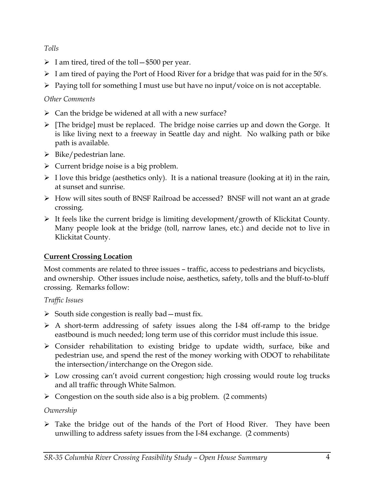## *Tolls*

- $\triangleright$  I am tired, tired of the toll \$500 per year.
- $\triangleright$  I am tired of paying the Port of Hood River for a bridge that was paid for in the 50's.
- $\triangleright$  Paying toll for something I must use but have no input/voice on is not acceptable.

# *Other Comments*

- $\triangleright$  Can the bridge be widened at all with a new surface?
- $\triangleright$  [The bridge] must be replaced. The bridge noise carries up and down the Gorge. It is like living next to a freeway in Seattle day and night. No walking path or bike path is available.
- $\triangleright$  Bike/pedestrian lane.
- $\triangleright$  Current bridge noise is a big problem.
- $\triangleright$  I love this bridge (aesthetics only). It is a national treasure (looking at it) in the rain, at sunset and sunrise.
- How will sites south of BNSF Railroad be accessed? BNSF will not want an at grade crossing.
- $\triangleright$  It feels like the current bridge is limiting development/growth of Klickitat County. Many people look at the bridge (toll, narrow lanes, etc.) and decide not to live in Klickitat County.

# **Current Crossing Location**

Most comments are related to three issues – traffic, access to pedestrians and bicyclists, and ownership. Other issues include noise, aesthetics, safety, tolls and the bluff-to-bluff crossing. Remarks follow:

# *Traffic Issues*

- $\triangleright$  South side congestion is really bad must fix.
- $\triangleright$  A short-term addressing of safety issues along the I-84 off-ramp to the bridge eastbound is much needed; long term use of this corridor must include this issue.
- $\triangleright$  Consider rehabilitation to existing bridge to update width, surface, bike and pedestrian use, and spend the rest of the money working with ODOT to rehabilitate the intersection/interchange on the Oregon side.
- Low crossing can't avoid current congestion; high crossing would route log trucks and all traffic through White Salmon.
- $\triangleright$  Congestion on the south side also is a big problem. (2 comments)

# *Ownership*

 $\triangleright$  Take the bridge out of the hands of the Port of Hood River. They have been unwilling to address safety issues from the I-84 exchange. (2 comments)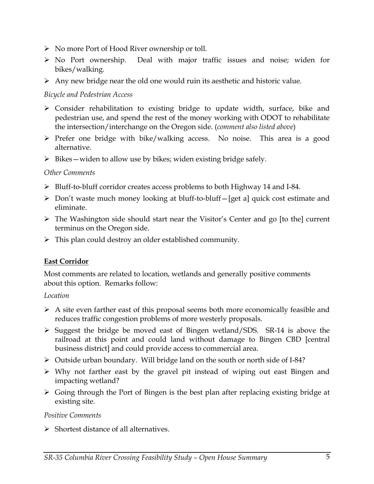- No more Port of Hood River ownership or toll.
- No Port ownership. Deal with major traffic issues and noise; widen for bikes/walking.
- $\triangleright$  Any new bridge near the old one would ruin its aesthetic and historic value.

#### *Bicycle and Pedestrian Access*

- Consider rehabilitation to existing bridge to update width, surface, bike and pedestrian use, and spend the rest of the money working with ODOT to rehabilitate the intersection/interchange on the Oregon side. (*comment also listed above*)
- $\triangleright$  Prefer one bridge with bike/walking access. No noise. This area is a good alternative.
- $\triangleright$  Bikes widen to allow use by bikes; widen existing bridge safely.

## *Other Comments*

- Bluff-to-bluff corridor creates access problems to both Highway 14 and I-84.
- Don't waste much money looking at bluff-to-bluff—[get a] quick cost estimate and eliminate.
- The Washington side should start near the Visitor's Center and go [to the] current terminus on the Oregon side.
- $\triangleright$  This plan could destroy an older established community.

## **East Corridor**

Most comments are related to location, wetlands and generally positive comments about this option. Remarks follow:

## *Location*

- $\triangleright$  A site even farther east of this proposal seems both more economically feasible and reduces traffic congestion problems of more westerly proposals.
- $\triangleright$  Suggest the bridge be moved east of Bingen wetland/SDS. SR-14 is above the railroad at this point and could land without damage to Bingen CBD [central business district] and could provide access to commercial area.
- Outside urban boundary. Will bridge land on the south or north side of I-84?
- $\triangleright$  Why not farther east by the gravel pit instead of wiping out east Bingen and impacting wetland?
- $\triangleright$  Going through the Port of Bingen is the best plan after replacing existing bridge at existing site.

#### *Positive Comments*

 $\triangleright$  Shortest distance of all alternatives.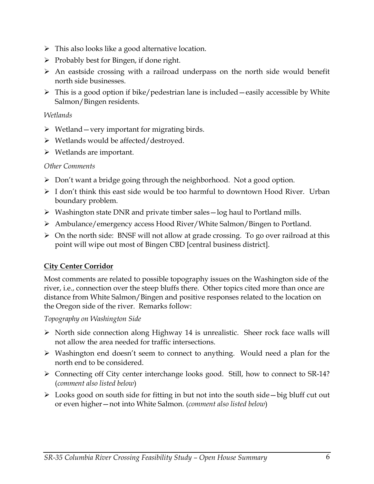- $\triangleright$  This also looks like a good alternative location.
- $\triangleright$  Probably best for Bingen, if done right.
- $\triangleright$  An eastside crossing with a railroad underpass on the north side would benefit north side businesses.
- $\triangleright$  This is a good option if bike/pedestrian lane is included —easily accessible by White Salmon/Bingen residents.

#### *Wetlands*

- $\triangleright$  Wetland very important for migrating birds.
- $\triangleright$  Wetlands would be affected/destroyed.
- $\triangleright$  Wetlands are important.

#### *Other Comments*

- $\triangleright$  Don't want a bridge going through the neighborhood. Not a good option.
- $\triangleright$  I don't think this east side would be too harmful to downtown Hood River. Urban boundary problem.
- $\triangleright$  Washington state DNR and private timber sales log haul to Portland mills.
- Ambulance/emergency access Hood River/White Salmon/Bingen to Portland.
- On the north side: BNSF will not allow at grade crossing. To go over railroad at this point will wipe out most of Bingen CBD [central business district].

## **City Center Corridor**

Most comments are related to possible topography issues on the Washington side of the river, i.e., connection over the steep bluffs there. Other topics cited more than once are distance from White Salmon/Bingen and positive responses related to the location on the Oregon side of the river. Remarks follow:

#### *Topography on Washington Side*

- $\triangleright$  North side connection along Highway 14 is unrealistic. Sheer rock face walls will not allow the area needed for traffic intersections.
- Washington end doesn't seem to connect to anything. Would need a plan for the north end to be considered.
- Connecting off City center interchange looks good. Still, how to connect to SR-14? (*comment also listed below*)
- $\triangleright$  Looks good on south side for fitting in but not into the south side—big bluff cut out or even higher—not into White Salmon. (*comment also listed below*)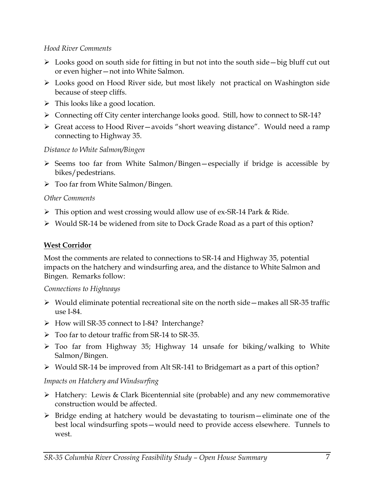#### *Hood River Comments*

- $\triangleright$  Looks good on south side for fitting in but not into the south side—big bluff cut out or even higher—not into White Salmon.
- Looks good on Hood River side, but most likely not practical on Washington side because of steep cliffs.
- $\triangleright$  This looks like a good location.
- Connecting off City center interchange looks good. Still, how to connect to SR-14?
- Great access to Hood River—avoids "short weaving distance". Would need a ramp connecting to Highway 35.

## *Distance to White Salmon/Bingen*

- $\triangleright$  Seems too far from White Salmon/Bingen-especially if bridge is accessible by bikes/pedestrians.
- Too far from White Salmon/Bingen.

# *Other Comments*

- This option and west crossing would allow use of ex-SR-14 Park & Ride.
- Would SR-14 be widened from site to Dock Grade Road as a part of this option?

# **West Corridor**

Most the comments are related to connections to SR-14 and Highway 35, potential impacts on the hatchery and windsurfing area, and the distance to White Salmon and Bingen. Remarks follow:

## *Connections to Highways*

- $\triangleright$  Would eliminate potential recreational site on the north side—makes all SR-35 traffic use I-84.
- ▶ How will SR-35 connect to I-84? Interchange?
- $\triangleright$  Too far to detour traffic from SR-14 to SR-35.
- Too far from Highway 35; Highway 14 unsafe for biking/walking to White Salmon/Bingen.
- Would SR-14 be improved from Alt SR-141 to Bridgemart as a part of this option?

# *Impacts on Hatchery and Windsurfing*

- $\triangleright$  Hatchery: Lewis & Clark Bicentennial site (probable) and any new commemorative construction would be affected.
- $\triangleright$  Bridge ending at hatchery would be devastating to tourism—eliminate one of the best local windsurfing spots—would need to provide access elsewhere. Tunnels to west.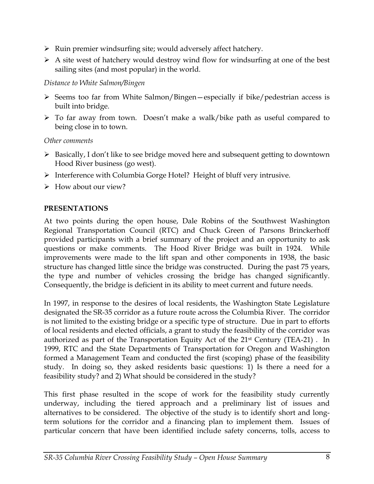- $\triangleright$  Ruin premier windsurfing site; would adversely affect hatchery.
- $\triangleright$  A site west of hatchery would destroy wind flow for windsurfing at one of the best sailing sites (and most popular) in the world.

## *Distance to White Salmon/Bingen*

- $\triangleright$  Seems too far from White Salmon/Bingen—especially if bike/pedestrian access is built into bridge.
- To far away from town. Doesn't make a walk/bike path as useful compared to being close in to town.

*Other comments* 

- Basically, I don't like to see bridge moved here and subsequent getting to downtown Hood River business (go west).
- $\triangleright$  Interference with Columbia Gorge Hotel? Height of bluff very intrusive.
- $\triangleright$  How about our view?

# **PRESENTATIONS**

At two points during the open house, Dale Robins of the Southwest Washington Regional Transportation Council (RTC) and Chuck Green of Parsons Brinckerhoff provided participants with a brief summary of the project and an opportunity to ask questions or make comments. The Hood River Bridge was built in 1924. While improvements were made to the lift span and other components in 1938, the basic structure has changed little since the bridge was constructed. During the past 75 years, the type and number of vehicles crossing the bridge has changed significantly. Consequently, the bridge is deficient in its ability to meet current and future needs.

In 1997, in response to the desires of local residents, the Washington State Legislature designated the SR-35 corridor as a future route across the Columbia River. The corridor is not limited to the existing bridge or a specific type of structure. Due in part to efforts of local residents and elected officials, a grant to study the feasibility of the corridor was authorized as part of the Transportation Equity Act of the 21<sup>st</sup> Century (TEA-21). In 1999, RTC and the State Departments of Transportation for Oregon and Washington formed a Management Team and conducted the first (scoping) phase of the feasibility study. In doing so, they asked residents basic questions: 1) Is there a need for a feasibility study? and 2) What should be considered in the study?

This first phase resulted in the scope of work for the feasibility study currently underway, including the tiered approach and a preliminary list of issues and alternatives to be considered. The objective of the study is to identify short and longterm solutions for the corridor and a financing plan to implement them. Issues of particular concern that have been identified include safety concerns, tolls, access to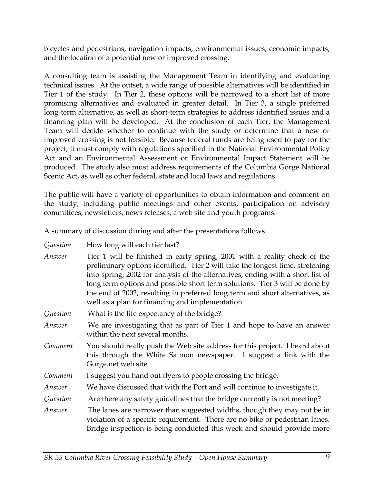bicycles and pedestrians, navigation impacts, environmental issues, economic impacts, and the location of a potential new or improved crossing.

A consulting team is assisting the Management Team in identifying and evaluating technical issues. At the outset, a wide range of possible alternatives will be identified in Tier 1 of the study. In Tier 2, these options will be narrowed to a short list of more promising alternatives and evaluated in greater detail. In Tier 3, a single preferred long-term alternative, as well as short-term strategies to address identified issues and a financing plan will be developed. At the conclusion of each Tier, the Management Team will decide whether to continue with the study or determine that a new or improved crossing is not feasible. Because federal funds are being used to pay for the project, it must comply with regulations specified in the National Environmental Policy Act and an Environmental Assessment or Environmental Impact Statement will be produced. The study also must address requirements of the Columbia Gorge National Scenic Act, as well as other federal, state and local laws and regulations.

The public will have a variety of opportunities to obtain information and comment on the study, including public meetings and other events, participation on advisory committees, newsletters, news releases, a web site and youth programs.

A summary of discussion during and after the presentations follows.

*Question* How long will each tier last?

- *Answer* Tier 1 will be finished in early spring, 2001 with a reality check of the preliminary options identified. Tier 2 will take the longest time, stretching into spring, 2002 for analysis of the alternatives, ending with a short list of long term options and possible short term solutions. Tier 3 will be done by the end of 2002, resulting in preferred long term and short alternatives, as well as a plan for financing and implementation.
- *Question* What is the life expectancy of the bridge?
- *Answer* We are investigating that as part of Tier 1 and hope to have an answer within the next several months.
- *Comment* You should really push the Web site address for this project. I heard about this through the White Salmon newspaper. I suggest a link with the Gorge.net web site.
- *Comment* I suggest you hand out flyers to people crossing the bridge.
- *Answer* We have discussed that with the Port and will continue to investigate it.
- *Question* Are there any safety guidelines that the bridge currently is not meeting?
- *Answer* The lanes are narrower than suggested widths, though they may not be in violation of a specific requirement. There are no bike or pedestrian lanes. Bridge inspection is being conducted this week and should provide more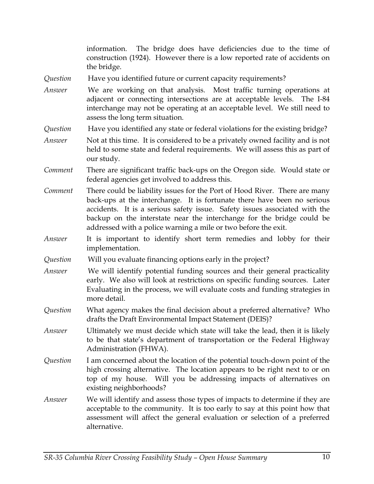|          | The bridge does have deficiencies due to the time of<br>information.<br>construction (1924). However there is a low reported rate of accidents on<br>the bridge.                                                                                                                                                                                                               |
|----------|--------------------------------------------------------------------------------------------------------------------------------------------------------------------------------------------------------------------------------------------------------------------------------------------------------------------------------------------------------------------------------|
| Question | Have you identified future or current capacity requirements?                                                                                                                                                                                                                                                                                                                   |
| Answer   | We are working on that analysis. Most traffic turning operations at<br>adjacent or connecting intersections are at acceptable levels. The I-84<br>interchange may not be operating at an acceptable level. We still need to<br>assess the long term situation.                                                                                                                 |
| Question | Have you identified any state or federal violations for the existing bridge?                                                                                                                                                                                                                                                                                                   |
| Answer   | Not at this time. It is considered to be a privately owned facility and is not<br>held to some state and federal requirements. We will assess this as part of<br>our study.                                                                                                                                                                                                    |
| Comment  | There are significant traffic back-ups on the Oregon side. Would state or<br>federal agencies get involved to address this.                                                                                                                                                                                                                                                    |
| Comment  | There could be liability issues for the Port of Hood River. There are many<br>back-ups at the interchange. It is fortunate there have been no serious<br>accidents. It is a serious safety issue. Safety issues associated with the<br>backup on the interstate near the interchange for the bridge could be<br>addressed with a police warning a mile or two before the exit. |
| Answer   | It is important to identify short term remedies and lobby for their<br>implementation.                                                                                                                                                                                                                                                                                         |
| Question | Will you evaluate financing options early in the project?                                                                                                                                                                                                                                                                                                                      |
| Answer   | We will identify potential funding sources and their general practicality<br>early. We also will look at restrictions on specific funding sources. Later<br>Evaluating in the process, we will evaluate costs and funding strategies in<br>more detail.                                                                                                                        |
| Question | What agency makes the final decision about a preferred alternative? Who<br>drafts the Draft Environmental Impact Statement (DEIS)?                                                                                                                                                                                                                                             |
| Answer   | Ultimately we must decide which state will take the lead, then it is likely<br>to be that state's department of transportation or the Federal Highway<br>Administration (FHWA).                                                                                                                                                                                                |
| Question | I am concerned about the location of the potential touch-down point of the<br>high crossing alternative. The location appears to be right next to or on<br>top of my house. Will you be addressing impacts of alternatives on<br>existing neighborhoods?                                                                                                                       |
| Answer   | We will identify and assess those types of impacts to determine if they are<br>acceptable to the community. It is too early to say at this point how that<br>assessment will affect the general evaluation or selection of a preferred<br>alternative.                                                                                                                         |